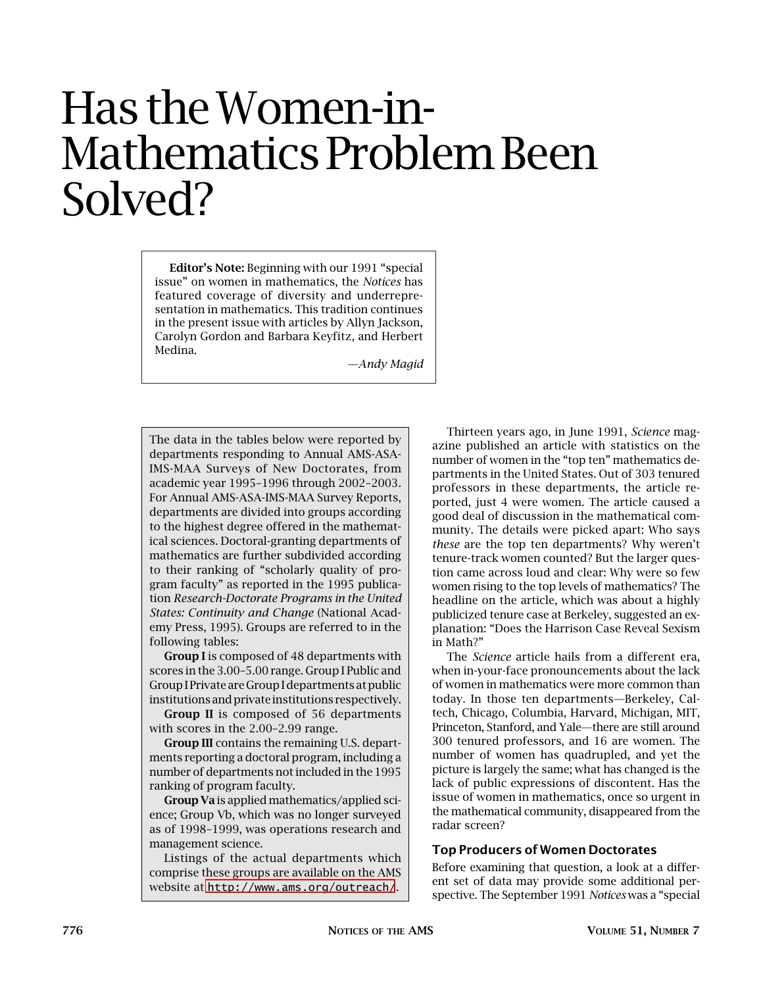# Has the Women-in-Mathematics Problem Been Solved?

**Editor's Note:** Beginning with our 1991 "special issue" on women in mathematics, the *Notices* has featured coverage of diversity and underrepresentation in mathematics. This tradition continues in the present issue with articles by Allyn Jackson, Carolyn Gordon and Barbara Keyfitz, and Herbert Medina.

*—Andy Magid*

The data in the tables below were reported by departments responding to Annual AMS-ASA-IMS-MAA Surveys of New Doctorates, from academic year 1995–1996 through 2002–2003. For Annual AMS-ASA-IMS-MAA Survey Reports, departments are divided into groups according to the highest degree offered in the mathematical sciences. Doctoral-granting departments of mathematics are further subdivided according to their ranking of "scholarly quality of program faculty" as reported in the 1995 publication *Research-Doctorate Programs in the United States: Continuity and Change* (National Academy Press, 1995). Groups are referred to in the following tables:

**Group I** is composed of 48 departments with scores in the 3.00–5.00 range. Group I Public and Group I Private are Group I departments at public institutions and private institutions respectively.

**Group II** is composed of 56 departments with scores in the 2.00–2.99 range.

**Group III** contains the remaining U.S. departments reporting a doctoral program, including a number of departments not included in the 1995 ranking of program faculty.

**Group Va** is applied mathematics/applied science; Group Vb, which was no longer surveyed as of 1998–1999, was operations research and management science.

Listings of the actual departments which comprise these groups are available on the AMS website at <http://www.ams.org/outreach/>.

Thirteen years ago, in June 1991, *Science* magazine published an article with statistics on the number of women in the "top ten" mathematics departments in the United States. Out of 303 tenured professors in these departments, the article reported, just 4 were women. The article caused a good deal of discussion in the mathematical community. The details were picked apart: Who says *these* are the top ten departments? Why weren't tenure-track women counted? But the larger question came across loud and clear: Why were so few women rising to the top levels of mathematics? The headline on the article, which was about a highly publicized tenure case at Berkeley, suggested an explanation: "Does the Harrison Case Reveal Sexism in Math?"

The *Science* article hails from a different era, when in-your-face pronouncements about the lack of women in mathematics were more common than today. In those ten departments—Berkeley, Caltech, Chicago, Columbia, Harvard, Michigan, MIT, Princeton, Stanford, and Yale—there are still around 300 tenured professors, and 16 are women. The number of women has quadrupled, and yet the picture is largely the same; what has changed is the lack of public expressions of discontent. Has the issue of women in mathematics, once so urgent in the mathematical community, disappeared from the radar screen?

## **Top Producers of Women Doctorates**

Before examining that question, a look at a different set of data may provide some additional perspective. The September 1991 *Notices* was a "special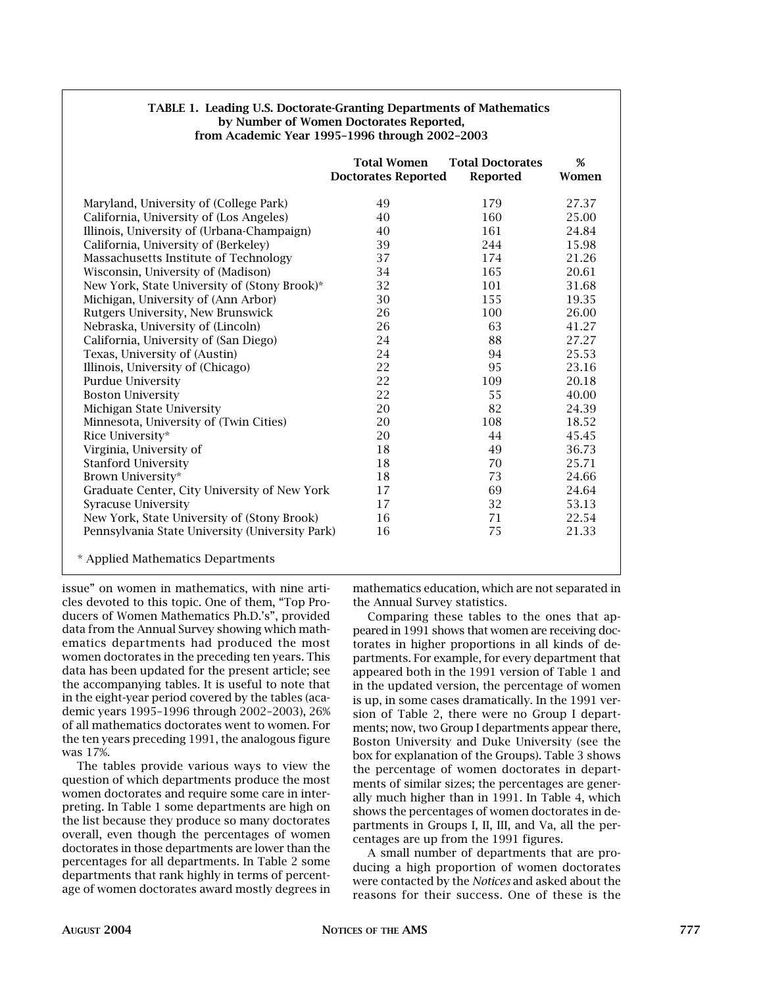| <b>TABLE 1. Leading U.S. Doctorate-Granting Departments of Mathematics</b> |
|----------------------------------------------------------------------------|
| by Number of Women Doctorates Reported,                                    |
| from Academic Year 1995-1996 through 2002-2003                             |

|                                                 | <b>Total Women</b><br><b>Doctorates Reported</b> | <b>Total Doctorates</b><br><b>Reported</b> | %<br>Women |
|-------------------------------------------------|--------------------------------------------------|--------------------------------------------|------------|
| Maryland, University of (College Park)          | 49                                               | 179                                        | 27.37      |
| California, University of (Los Angeles)         | 40                                               | 160                                        | 25.00      |
| Illinois, University of (Urbana-Champaign)      | 40                                               | 161                                        | 24.84      |
| California, University of (Berkeley)            | 39                                               | 244                                        | 15.98      |
| Massachusetts Institute of Technology           | 37                                               | 174                                        | 21.26      |
| Wisconsin, University of (Madison)              | 34                                               | 165                                        | 20.61      |
| New York, State University of (Stony Brook)*    | 32                                               | 101                                        | 31.68      |
| Michigan, University of (Ann Arbor)             | 30                                               | 155                                        | 19.35      |
| Rutgers University, New Brunswick               | 26                                               | 100                                        | 26.00      |
| Nebraska, University of (Lincoln)               | 26                                               | 63                                         | 41.27      |
| California, University of (San Diego)           | 24                                               | 88                                         | 27.27      |
| Texas, University of (Austin)                   | 24                                               | 94                                         | 25.53      |
| Illinois, University of (Chicago)               | 22                                               | 95                                         | 23.16      |
| Purdue University                               | 22                                               | 109                                        | 20.18      |
| <b>Boston University</b>                        | 22                                               | 55                                         | 40.00      |
| Michigan State University                       | 20                                               | 82                                         | 24.39      |
| Minnesota, University of (Twin Cities)          | 20                                               | 108                                        | 18.52      |
| Rice University*                                | 20                                               | 44                                         | 45.45      |
| Virginia, University of                         | 18                                               | 49                                         | 36.73      |
| <b>Stanford University</b>                      | 18                                               | 70                                         | 25.71      |
| Brown University*                               | 18                                               | 73                                         | 24.66      |
| Graduate Center, City University of New York    | 17                                               | 69                                         | 24.64      |
| <b>Syracuse University</b>                      | 17                                               | 32                                         | 53.13      |
| New York, State University of (Stony Brook)     | 16                                               | 71                                         | 22.54      |
| Pennsylvania State University (University Park) | 16                                               | 75                                         | 21.33      |
| * Applied Mathematics Departments               |                                                  |                                            |            |

issue" on women in mathematics, with nine articles devoted to this topic. One of them, "Top Producers of Women Mathematics Ph.D.'s", provided data from the Annual Survey showing which mathematics departments had produced the most women doctorates in the preceding ten years. This data has been updated for the present article; see the accompanying tables. It is useful to note that in the eight-year period covered by the tables (academic years 1995–1996 through 2002–2003), 26% of all mathematics doctorates went to women. For the ten years preceding 1991, the analogous figure was 17%.

The tables provide various ways to view the question of which departments produce the most women doctorates and require some care in interpreting. In Table 1 some departments are high on the list because they produce so many doctorates overall, even though the percentages of women doctorates in those departments are lower than the percentages for all departments. In Table 2 some departments that rank highly in terms of percentage of women doctorates award mostly degrees in mathematics education, which are not separated in the Annual Survey statistics.

Comparing these tables to the ones that appeared in 1991 shows that women are receiving doctorates in higher proportions in all kinds of departments. For example, for every department that appeared both in the 1991 version of Table 1 and in the updated version, the percentage of women is up, in some cases dramatically. In the 1991 version of Table 2, there were no Group I departments; now, two Group I departments appear there, Boston University and Duke University (see the box for explanation of the Groups). Table 3 shows the percentage of women doctorates in departments of similar sizes; the percentages are generally much higher than in 1991. In Table 4, which shows the percentages of women doctorates in departments in Groups I, II, III, and Va, all the percentages are up from the 1991 figures.

A small number of departments that are producing a high proportion of women doctorates were contacted by the *Notices* and asked about the reasons for their success. One of these is the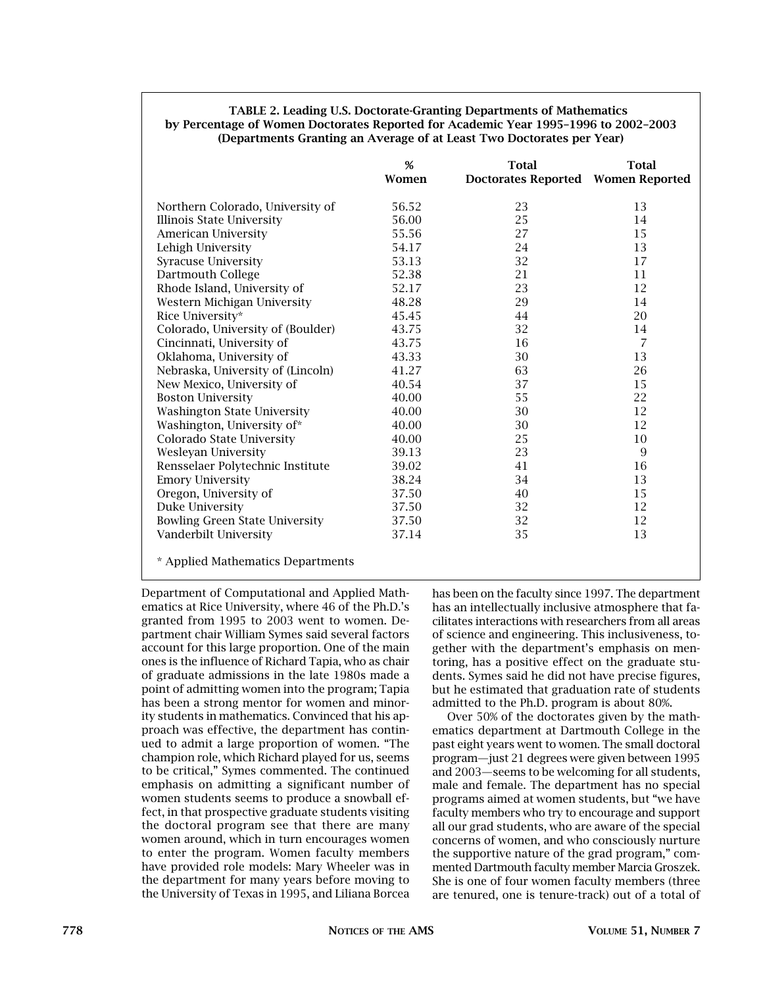#### **TABLE 2. Leading U.S. Doctorate-Granting Departments of Mathematics by Percentage of Women Doctorates Reported for Academic Year 1995–1996 to 2002–2003 (Departments Granting an Average of at Least Two Doctorates per Year)**

|                                       | %<br>Women | <b>Total</b><br>Doctorates Reported Women Reported | <b>Total</b>   |
|---------------------------------------|------------|----------------------------------------------------|----------------|
| Northern Colorado, University of      | 56.52      | 23                                                 | 13             |
| Illinois State University             | 56.00      | 25                                                 | 14             |
| American University                   | 55.56      | 27                                                 | 15             |
| Lehigh University                     | 54.17      | 24                                                 | 13             |
| <b>Syracuse University</b>            | 53.13      | 32                                                 | 17             |
| Dartmouth College                     | 52.38      | 21                                                 | 11             |
| Rhode Island, University of           | 52.17      | 23                                                 | 12             |
| Western Michigan University           | 48.28      | 29                                                 | 14             |
| Rice University*                      | 45.45      | 44                                                 | 20             |
| Colorado, University of (Boulder)     | 43.75      | 32                                                 | 14             |
| Cincinnati, University of             | 43.75      | 16                                                 | $\overline{7}$ |
| Oklahoma, University of               | 43.33      | 30                                                 | 13             |
| Nebraska, University of (Lincoln)     | 41.27      | 63                                                 | 26             |
| New Mexico, University of             | 40.54      | 37                                                 | 15             |
| <b>Boston University</b>              | 40.00      | 55                                                 | 22             |
| <b>Washington State University</b>    | 40.00      | 30                                                 | 12             |
| Washington, University of*            | 40.00      | 30                                                 | 12             |
| Colorado State University             | 40.00      | 25                                                 | 10             |
| Wesleyan University                   | 39.13      | 23                                                 | 9              |
| Rensselaer Polytechnic Institute      | 39.02      | 41                                                 | 16             |
| <b>Emory University</b>               | 38.24      | 34                                                 | 13             |
| Oregon, University of                 | 37.50      | 40                                                 | 15             |
| Duke University                       | 37.50      | 32                                                 | 12             |
| <b>Bowling Green State University</b> | 37.50      | 32                                                 | 12             |
| Vanderbilt University                 | 37.14      | 35                                                 | 13             |

\* Applied Mathematics Departments

Department of Computational and Applied Mathematics at Rice University, where 46 of the Ph.D.'s granted from 1995 to 2003 went to women. Department chair William Symes said several factors account for this large proportion. One of the main ones is the influence of Richard Tapia, who as chair of graduate admissions in the late 1980s made a point of admitting women into the program; Tapia has been a strong mentor for women and minority students in mathematics. Convinced that his approach was effective, the department has continued to admit a large proportion of women. "The champion role, which Richard played for us, seems to be critical," Symes commented. The continued emphasis on admitting a significant number of women students seems to produce a snowball effect, in that prospective graduate students visiting the doctoral program see that there are many women around, which in turn encourages women to enter the program. Women faculty members have provided role models: Mary Wheeler was in the department for many years before moving to the University of Texas in 1995, and Liliana Borcea has been on the faculty since 1997. The department has an intellectually inclusive atmosphere that facilitates interactions with researchers from all areas of science and engineering. This inclusiveness, together with the department's emphasis on mentoring, has a positive effect on the graduate students. Symes said he did not have precise figures, but he estimated that graduation rate of students admitted to the Ph.D. program is about 80%.

Over 50% of the doctorates given by the mathematics department at Dartmouth College in the past eight years went to women. The small doctoral program—just 21 degrees were given between 1995 and 2003—seems to be welcoming for all students, male and female. The department has no special programs aimed at women students, but "we have faculty members who try to encourage and support all our grad students, who are aware of the special concerns of women, and who consciously nurture the supportive nature of the grad program," commented Dartmouth faculty member Marcia Groszek. She is one of four women faculty members (three are tenured, one is tenure-track) out of a total of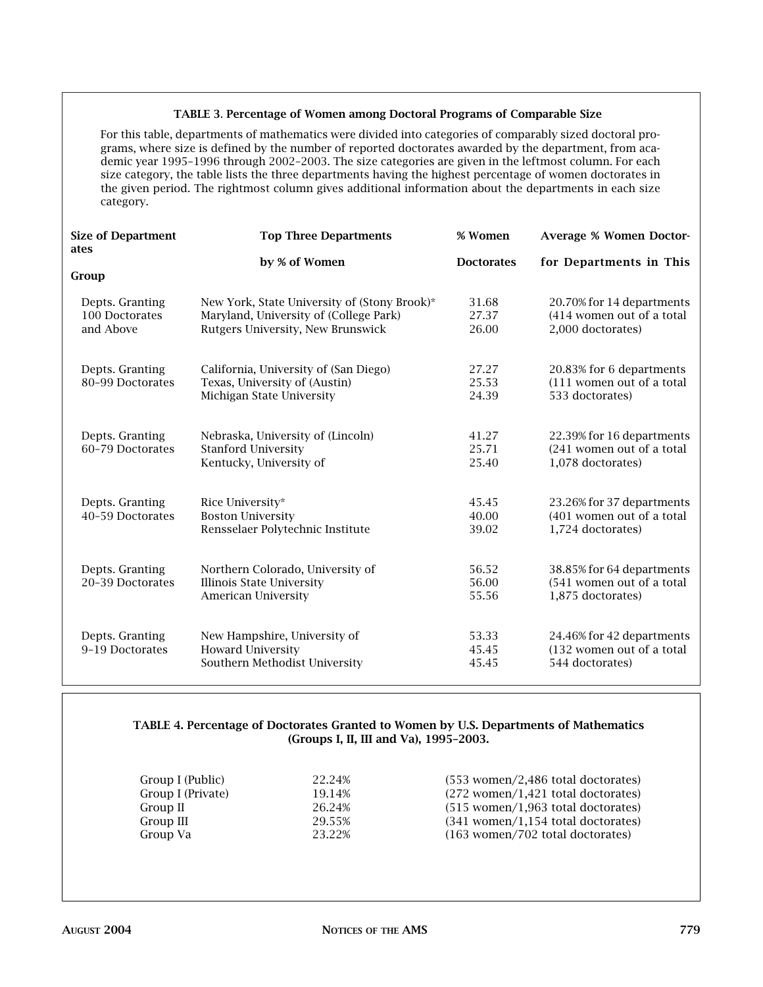#### **TABLE 3**. **Percentage of Women among Doctoral Programs of Comparable Size**

For this table, departments of mathematics were divided into categories of comparably sized doctoral programs, where size is defined by the number of reported doctorates awarded by the department, from academic year 1995–1996 through 2002–2003. The size categories are given in the leftmost column. For each size category, the table lists the three departments having the highest percentage of women doctorates in the given period. The rightmost column gives additional information about the departments in each size category.

| <b>Size of Department</b><br>ates | <b>Top Three Departments</b>                 | % Women           | <b>Average % Women Doctor-</b> |
|-----------------------------------|----------------------------------------------|-------------------|--------------------------------|
|                                   | by % of Women                                | <b>Doctorates</b> | for Departments in This        |
| Group                             |                                              |                   |                                |
| Depts. Granting                   | New York, State University of (Stony Brook)* | 31.68             | 20.70% for 14 departments      |
| 100 Doctorates                    | Maryland, University of (College Park)       | 27.37             | (414 women out of a total      |
| and Above                         | Rutgers University, New Brunswick            | 26.00             | 2,000 doctorates)              |
| Depts. Granting                   | California, University of (San Diego)        | 27.27             | 20.83% for 6 departments       |
| 80-99 Doctorates                  | Texas, University of (Austin)                | 25.53             | (111 women out of a total      |
|                                   | Michigan State University                    | 24.39             | 533 doctorates)                |
| Depts. Granting                   | Nebraska, University of (Lincoln)            | 41.27             | 22.39% for 16 departments      |
| 60-79 Doctorates                  | <b>Stanford University</b>                   | 25.71             | (241 women out of a total      |
|                                   | Kentucky, University of                      | 25.40             | 1,078 doctorates)              |
| Depts. Granting                   | Rice University*                             | 45.45             | 23.26% for 37 departments      |
| 40-59 Doctorates                  | <b>Boston University</b>                     | 40.00             | (401 women out of a total      |
|                                   | Rensselaer Polytechnic Institute             | 39.02             | 1,724 doctorates)              |
| Depts. Granting                   | Northern Colorado, University of             | 56.52             | 38.85% for 64 departments      |
| 20-39 Doctorates                  | <b>Illinois State University</b>             | 56.00             | (541 women out of a total      |
|                                   | American University                          | 55.56             | 1,875 doctorates)              |
| Depts. Granting                   | New Hampshire, University of                 | 53.33             | 24.46% for 42 departments      |
| 9-19 Doctorates                   | <b>Howard University</b>                     | 45.45             | (132 women out of a total      |
|                                   | Southern Methodist University                | 45.45             | 544 doctorates)                |

# **TABLE 4. Percentage of Doctorates Granted to Women by U.S. Departments of Mathematics (Groups I, II, III and Va), 1995–2003.**

Group I (Public) 22.24% (553 women/2,486 total doctorates) Group I (Private) 19.14% (272 women/1,421 total doctorates) Group II 26.24% (515 women/1,963 total doctorates) Group III 29.55% (341 women/1,154 total doctorates) Group Va 23.22% (163 women/702 total doctorates)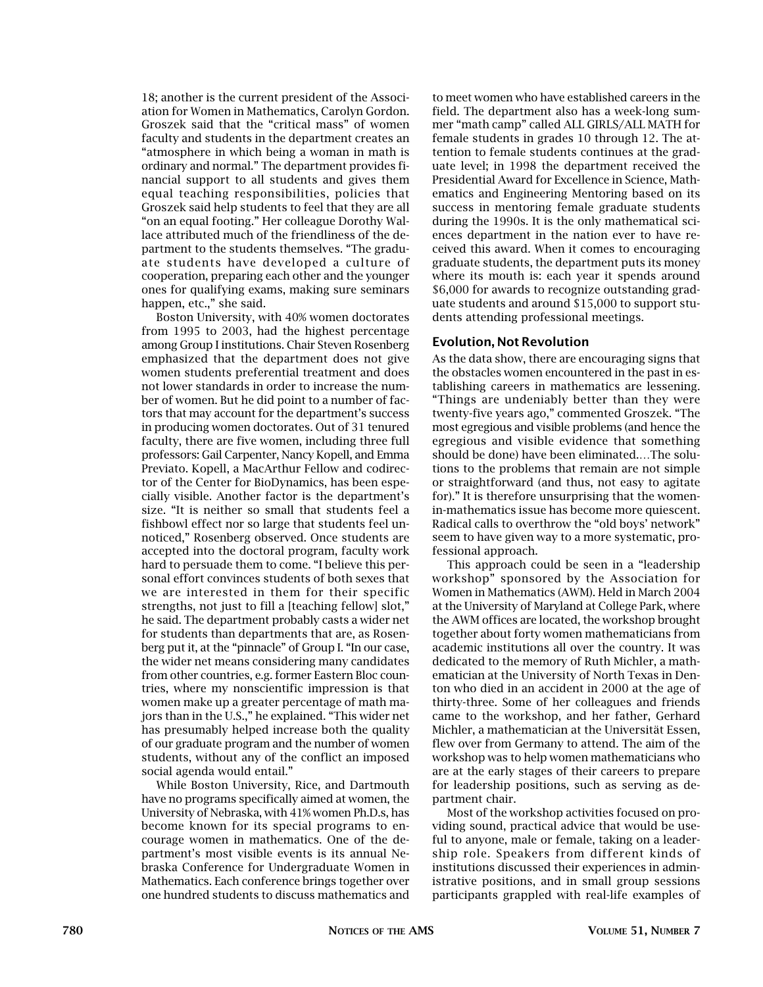18; another is the current president of the Association for Women in Mathematics, Carolyn Gordon. Groszek said that the "critical mass" of women faculty and students in the department creates an "atmosphere in which being a woman in math is ordinary and normal." The department provides financial support to all students and gives them equal teaching responsibilities, policies that Groszek said help students to feel that they are all "on an equal footing." Her colleague Dorothy Wallace attributed much of the friendliness of the department to the students themselves. "The graduate students have developed a culture of cooperation, preparing each other and the younger ones for qualifying exams, making sure seminars happen, etc.," she said.

Boston University, with 40% women doctorates from 1995 to 2003, had the highest percentage among Group I institutions. Chair Steven Rosenberg emphasized that the department does not give women students preferential treatment and does not lower standards in order to increase the number of women. But he did point to a number of factors that may account for the department's success in producing women doctorates. Out of 31 tenured faculty, there are five women, including three full professors: Gail Carpenter, Nancy Kopell, and Emma Previato. Kopell, a MacArthur Fellow and codirector of the Center for BioDynamics, has been especially visible. Another factor is the department's size. "It is neither so small that students feel a fishbowl effect nor so large that students feel unnoticed," Rosenberg observed. Once students are accepted into the doctoral program, faculty work hard to persuade them to come. "I believe this personal effort convinces students of both sexes that we are interested in them for their specific strengths, not just to fill a [teaching fellow] slot," he said. The department probably casts a wider net for students than departments that are, as Rosenberg put it, at the "pinnacle" of Group I. "In our case, the wider net means considering many candidates from other countries, e.g. former Eastern Bloc countries, where my nonscientific impression is that women make up a greater percentage of math majors than in the U.S.," he explained. "This wider net has presumably helped increase both the quality of our graduate program and the number of women students, without any of the conflict an imposed social agenda would entail."

While Boston University, Rice, and Dartmouth have no programs specifically aimed at women, the University of Nebraska, with 41% women Ph.D.s, has become known for its special programs to encourage women in mathematics. One of the department's most visible events is its annual Nebraska Conference for Undergraduate Women in Mathematics. Each conference brings together over one hundred students to discuss mathematics and

to meet women who have established careers in the field. The department also has a week-long summer "math camp" called ALL GIRLS/ALL MATH for female students in grades 10 through 12. The attention to female students continues at the graduate level; in 1998 the department received the Presidential Award for Excellence in Science, Mathematics and Engineering Mentoring based on its success in mentoring female graduate students during the 1990s. It is the only mathematical sciences department in the nation ever to have received this award. When it comes to encouraging graduate students, the department puts its money where its mouth is: each year it spends around \$6,000 for awards to recognize outstanding graduate students and around \$15,000 to support students attending professional meetings.

## **Evolution, Not Revolution**

As the data show, there are encouraging signs that the obstacles women encountered in the past in establishing careers in mathematics are lessening. "Things are undeniably better than they were twenty-five years ago," commented Groszek. "The most egregious and visible problems (and hence the egregious and visible evidence that something should be done) have been eliminated.…The solutions to the problems that remain are not simple or straightforward (and thus, not easy to agitate for)." It is therefore unsurprising that the womenin-mathematics issue has become more quiescent. Radical calls to overthrow the "old boys' network" seem to have given way to a more systematic, professional approach.

This approach could be seen in a "leadership workshop" sponsored by the Association for Women in Mathematics (AWM). Held in March 2004 at the University of Maryland at College Park, where the AWM offices are located, the workshop brought together about forty women mathematicians from academic institutions all over the country. It was dedicated to the memory of Ruth Michler, a mathematician at the University of North Texas in Denton who died in an accident in 2000 at the age of thirty-three. Some of her colleagues and friends came to the workshop, and her father, Gerhard Michler, a mathematician at the Universität Essen, flew over from Germany to attend. The aim of the workshop was to help women mathematicians who are at the early stages of their careers to prepare for leadership positions, such as serving as department chair.

Most of the workshop activities focused on providing sound, practical advice that would be useful to anyone, male or female, taking on a leadership role. Speakers from different kinds of institutions discussed their experiences in administrative positions, and in small group sessions participants grappled with real-life examples of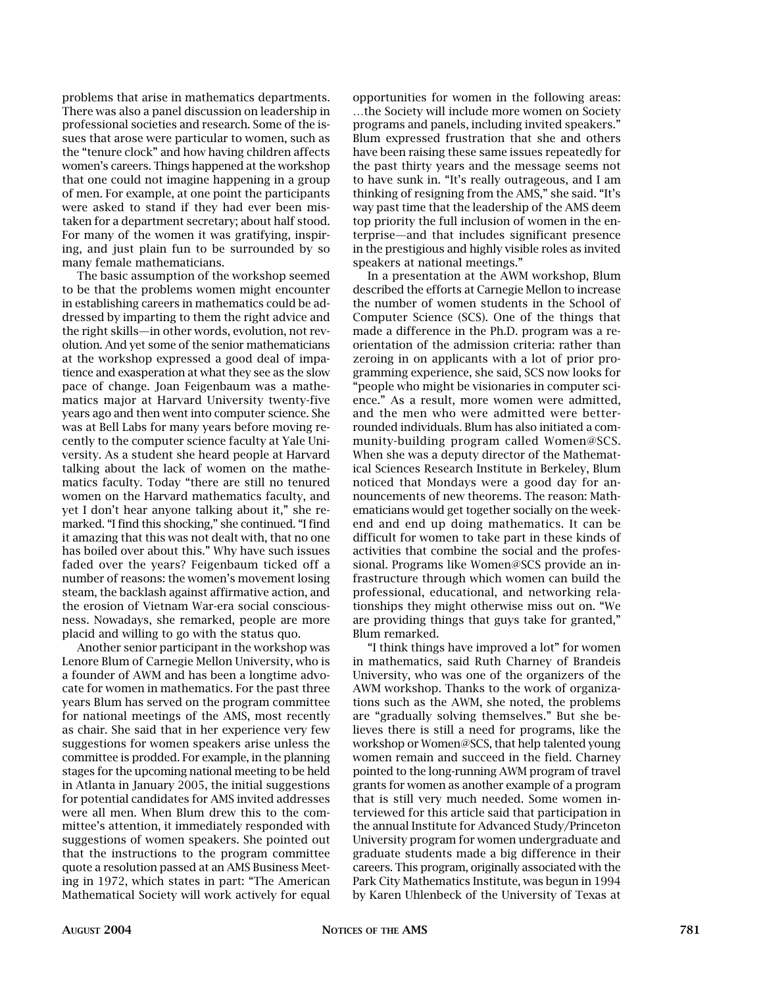problems that arise in mathematics departments. There was also a panel discussion on leadership in professional societies and research. Some of the issues that arose were particular to women, such as the "tenure clock" and how having children affects women's careers. Things happened at the workshop that one could not imagine happening in a group of men. For example, at one point the participants were asked to stand if they had ever been mistaken for a department secretary; about half stood. For many of the women it was gratifying, inspiring, and just plain fun to be surrounded by so many female mathematicians.

The basic assumption of the workshop seemed to be that the problems women might encounter in establishing careers in mathematics could be addressed by imparting to them the right advice and the right skills—in other words, evolution, not revolution. And yet some of the senior mathematicians at the workshop expressed a good deal of impatience and exasperation at what they see as the slow pace of change. Joan Feigenbaum was a mathematics major at Harvard University twenty-five years ago and then went into computer science. She was at Bell Labs for many years before moving recently to the computer science faculty at Yale University. As a student she heard people at Harvard talking about the lack of women on the mathematics faculty. Today "there are still no tenured women on the Harvard mathematics faculty, and yet I don't hear anyone talking about it," she remarked. "I find this shocking," she continued. "I find it amazing that this was not dealt with, that no one has boiled over about this." Why have such issues faded over the years? Feigenbaum ticked off a number of reasons: the women's movement losing steam, the backlash against affirmative action, and the erosion of Vietnam War-era social consciousness. Nowadays, she remarked, people are more placid and willing to go with the status quo.

Another senior participant in the workshop was Lenore Blum of Carnegie Mellon University, who is a founder of AWM and has been a longtime advocate for women in mathematics. For the past three years Blum has served on the program committee for national meetings of the AMS, most recently as chair. She said that in her experience very few suggestions for women speakers arise unless the committee is prodded. For example, in the planning stages for the upcoming national meeting to be held in Atlanta in January 2005, the initial suggestions for potential candidates for AMS invited addresses were all men. When Blum drew this to the committee's attention, it immediately responded with suggestions of women speakers. She pointed out that the instructions to the program committee quote a resolution passed at an AMS Business Meeting in 1972, which states in part: "The American Mathematical Society will work actively for equal opportunities for women in the following areas: …the Society will include more women on Society programs and panels, including invited speakers." Blum expressed frustration that she and others have been raising these same issues repeatedly for the past thirty years and the message seems not to have sunk in. "It's really outrageous, and I am thinking of resigning from the AMS," she said. "It's way past time that the leadership of the AMS deem top priority the full inclusion of women in the enterprise—and that includes significant presence in the prestigious and highly visible roles as invited speakers at national meetings."

In a presentation at the AWM workshop, Blum described the efforts at Carnegie Mellon to increase the number of women students in the School of Computer Science (SCS). One of the things that made a difference in the Ph.D. program was a reorientation of the admission criteria: rather than zeroing in on applicants with a lot of prior programming experience, she said, SCS now looks for "people who might be visionaries in computer science." As a result, more women were admitted, and the men who were admitted were betterrounded individuals. Blum has also initiated a community-building program called Women@SCS. When she was a deputy director of the Mathematical Sciences Research Institute in Berkeley, Blum noticed that Mondays were a good day for announcements of new theorems. The reason: Mathematicians would get together socially on the weekend and end up doing mathematics. It can be difficult for women to take part in these kinds of activities that combine the social and the professional. Programs like Women@SCS provide an infrastructure through which women can build the professional, educational, and networking relationships they might otherwise miss out on. "We are providing things that guys take for granted," Blum remarked.

"I think things have improved a lot" for women in mathematics, said Ruth Charney of Brandeis University, who was one of the organizers of the AWM workshop. Thanks to the work of organizations such as the AWM, she noted, the problems are "gradually solving themselves." But she believes there is still a need for programs, like the workshop or Women@SCS, that help talented young women remain and succeed in the field. Charney pointed to the long-running AWM program of travel grants for women as another example of a program that is still very much needed. Some women interviewed for this article said that participation in the annual Institute for Advanced Study/Princeton University program for women undergraduate and graduate students made a big difference in their careers. This program, originally associated with the Park City Mathematics Institute, was begun in 1994 by Karen Uhlenbeck of the University of Texas at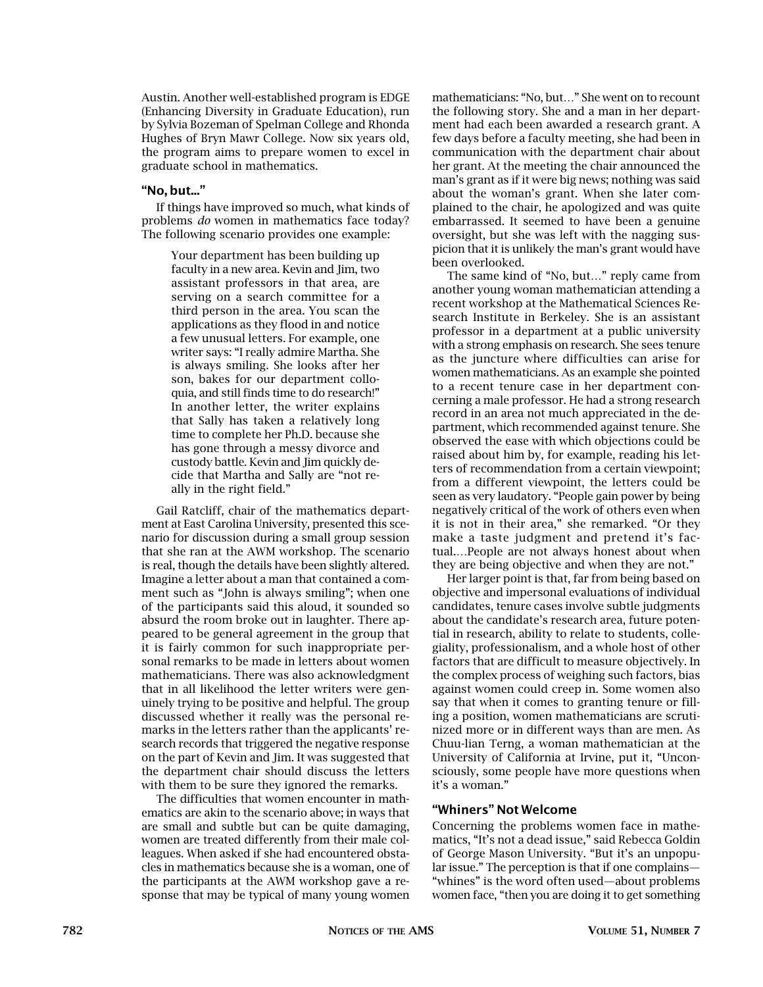Austin. Another well-established program is EDGE (Enhancing Diversity in Graduate Education), run by Sylvia Bozeman of Spelman College and Rhonda Hughes of Bryn Mawr College. Now six years old, the program aims to prepare women to excel in graduate school in mathematics.

### **"No, but..."**

If things have improved so much, what kinds of problems *do* women in mathematics face today? The following scenario provides one example:

> Your department has been building up faculty in a new area. Kevin and Jim, two assistant professors in that area, are serving on a search committee for a third person in the area. You scan the applications as they flood in and notice a few unusual letters. For example, one writer says: "I really admire Martha. She is always smiling. She looks after her son, bakes for our department colloquia, and still finds time to do research!" In another letter, the writer explains that Sally has taken a relatively long time to complete her Ph.D. because she has gone through a messy divorce and custody battle. Kevin and Jim quickly decide that Martha and Sally are "not really in the right field."

Gail Ratcliff, chair of the mathematics department at East Carolina University, presented this scenario for discussion during a small group session that she ran at the AWM workshop. The scenario is real, though the details have been slightly altered. Imagine a letter about a man that contained a comment such as "John is always smiling"; when one of the participants said this aloud, it sounded so absurd the room broke out in laughter. There appeared to be general agreement in the group that it is fairly common for such inappropriate personal remarks to be made in letters about women mathematicians. There was also acknowledgment that in all likelihood the letter writers were genuinely trying to be positive and helpful. The group discussed whether it really was the personal remarks in the letters rather than the applicants' research records that triggered the negative response on the part of Kevin and Jim. It was suggested that the department chair should discuss the letters with them to be sure they ignored the remarks.

The difficulties that women encounter in mathematics are akin to the scenario above; in ways that are small and subtle but can be quite damaging, women are treated differently from their male colleagues. When asked if she had encountered obstacles in mathematics because she is a woman, one of the participants at the AWM workshop gave a response that may be typical of many young women mathematicians: "No, but…" She went on to recount the following story. She and a man in her department had each been awarded a research grant. A few days before a faculty meeting, she had been in communication with the department chair about her grant. At the meeting the chair announced the man's grant as if it were big news; nothing was said about the woman's grant. When she later complained to the chair, he apologized and was quite embarrassed. It seemed to have been a genuine oversight, but she was left with the nagging suspicion that it is unlikely the man's grant would have been overlooked.

The same kind of "No, but…" reply came from another young woman mathematician attending a recent workshop at the Mathematical Sciences Research Institute in Berkeley. She is an assistant professor in a department at a public university with a strong emphasis on research. She sees tenure as the juncture where difficulties can arise for women mathematicians. As an example she pointed to a recent tenure case in her department concerning a male professor. He had a strong research record in an area not much appreciated in the department, which recommended against tenure. She observed the ease with which objections could be raised about him by, for example, reading his letters of recommendation from a certain viewpoint; from a different viewpoint, the letters could be seen as very laudatory. "People gain power by being negatively critical of the work of others even when it is not in their area," she remarked. "Or they make a taste judgment and pretend it's factual.…People are not always honest about when they are being objective and when they are not."

Her larger point is that, far from being based on objective and impersonal evaluations of individual candidates, tenure cases involve subtle judgments about the candidate's research area, future potential in research, ability to relate to students, collegiality, professionalism, and a whole host of other factors that are difficult to measure objectively. In the complex process of weighing such factors, bias against women could creep in. Some women also say that when it comes to granting tenure or filling a position, women mathematicians are scrutinized more or in different ways than are men. As Chuu-lian Terng, a woman mathematician at the University of California at Irvine, put it, "Unconsciously, some people have more questions when it's a woman."

# **"Whiners" Not Welcome**

Concerning the problems women face in mathematics, "It's not a dead issue," said Rebecca Goldin of George Mason University. "But it's an unpopular issue." The perception is that if one complains— "whines" is the word often used—about problems women face, "then you are doing it to get something